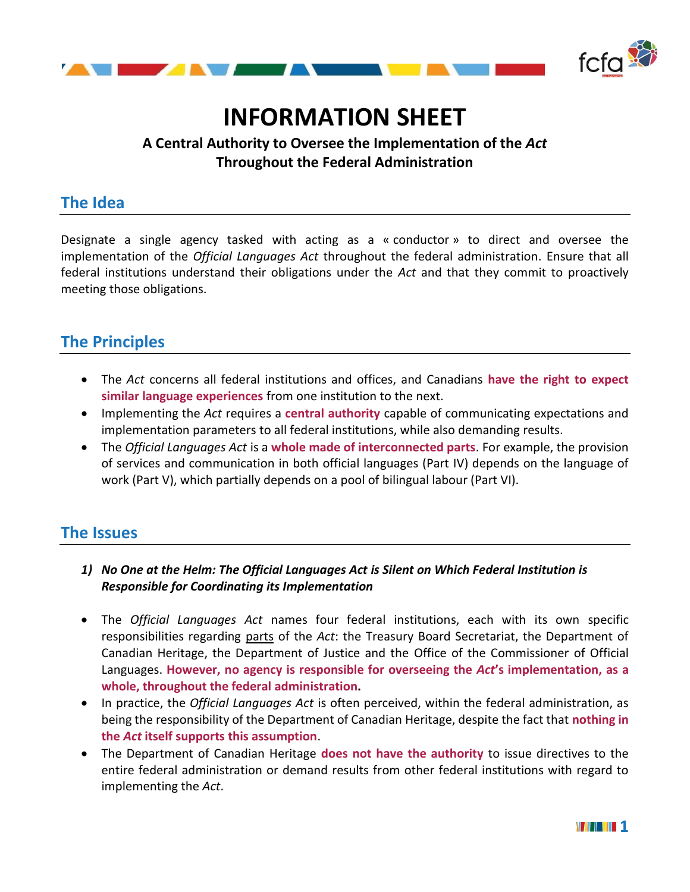

# **INFORMATION SHEET**

#### **A Central Authority to Oversee the Implementation of the** *Act* **Throughout the Federal Administration**

### **The Idea**

Designate a single agency tasked with acting as a « conductor » to direct and oversee the implementation of the *Official Languages Act* throughout the federal administration. Ensure that all federal institutions understand their obligations under the *Act* and that they commit to proactively meeting those obligations.

## **The Principles**

- The *Act* concerns all federal institutions and offices, and Canadians **have the right to expect similar language experiences** from one institution to the next.
- Implementing the *Act* requires a **central authority** capable of communicating expectations and implementation parameters to all federal institutions, while also demanding results.
- The *Official Languages Act* is a **whole made of interconnected parts**. For example, the provision of services and communication in both official languages (Part IV) depends on the language of work (Part V), which partially depends on a pool of bilingual labour (Part VI).

#### **The Issues**

- *1) No One at the Helm: The Official Languages Act is Silent on Which Federal Institution is Responsible for Coordinating its Implementation*
- The *Official Languages Act* names four federal institutions, each with its own specific responsibilities regarding parts of the *Act*: the Treasury Board Secretariat, the Department of Canadian Heritage, the Department of Justice and the Office of the Commissioner of Official Languages. **However, no agency is responsible for overseeing the** *Act***'s implementation, as a whole, throughout the federal administration.**
- In practice, the *Official Languages Act* is often perceived, within the federal administration, as being the responsibility of the Department of Canadian Heritage, despite the fact that **nothing in the** *Act* **itself supports this assumption**.
- The Department of Canadian Heritage **does not have the authority** to issue directives to the entire federal administration or demand results from other federal institutions with regard to implementing the *Act*.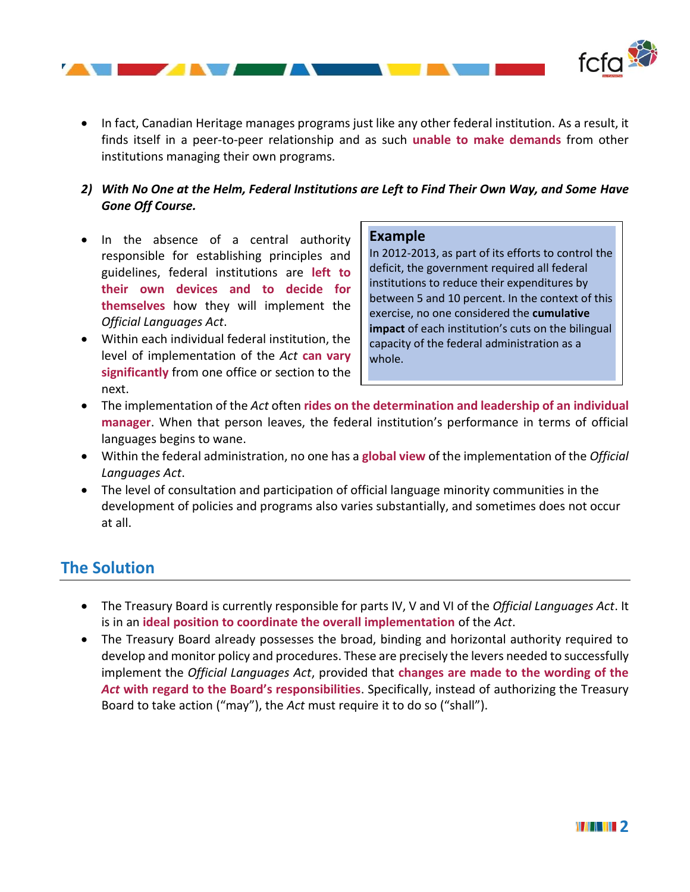

• In fact, Canadian Heritage manages programs just like any other federal institution. As a result, it finds itself in a peer-to-peer relationship and as such **unable to make demands** from other institutions managing their own programs.

#### *2) With No One at the Helm, Federal Institutions are Left to Find Their Own Way, and Some Have Gone Off Course.*

- In the absence of a central authority responsible for establishing principles and guidelines, federal institutions are **left to their own devices and to decide for themselves** how they will implement the *Official Languages Act*.
- Within each individual federal institution, the level of implementation of the *Act* **can vary significantly** from one office or section to the next.

#### **Example**

In 2012-2013, as part of its efforts to control the deficit, the government required all federal institutions to reduce their expenditures by between 5 and 10 percent. In the context of this exercise, no one considered the **cumulative impact** of each institution's cuts on the bilingual capacity of the federal administration as a whole.

- The implementation of the *Act* often **rides on the determination and leadership of an individual manager**. When that person leaves, the federal institution's performance in terms of official languages begins to wane.
- Within the federal administration, no one has a **global view** of the implementation of the *Official Languages Act*.
- The level of consultation and participation of official language minority communities in the development of policies and programs also varies substantially, and sometimes does not occur at all.

#### **The Solution**

- The Treasury Board is currently responsible for parts IV, V and VI of the *Official Languages Act*. It is in an **ideal position to coordinate the overall implementation** of the *Act*.
- The Treasury Board already possesses the broad, binding and horizontal authority required to develop and monitor policy and procedures. These are precisely the levers needed to successfully implement the *Official Languages Act*, provided that **changes are made to the wording of the**  *Act* **with regard to the Board's responsibilities**. Specifically, instead of authorizing the Treasury Board to take action ("may"), the *Act* must require it to do so ("shall").